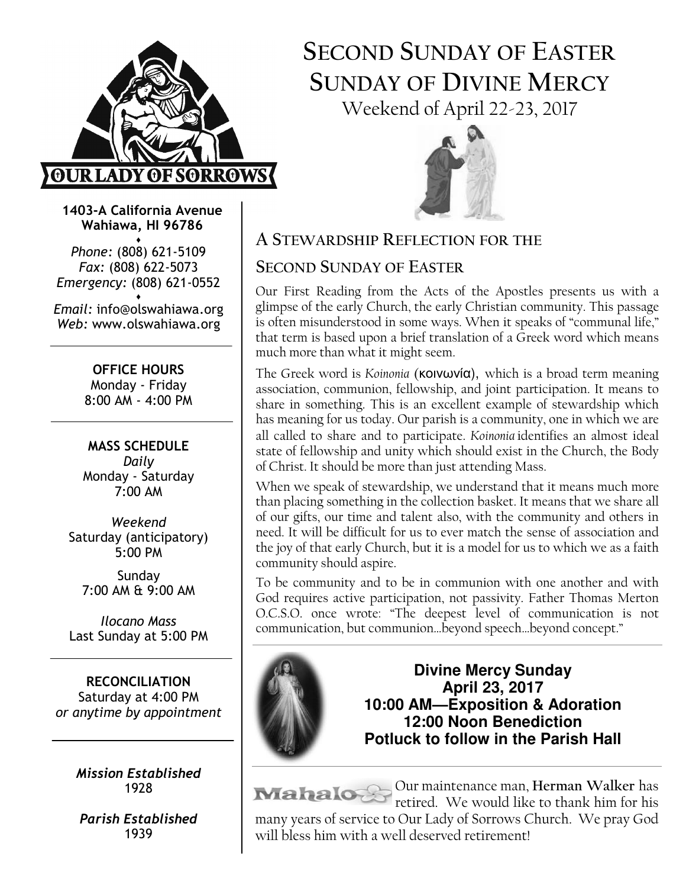

# SECOND SUNDAY OF EASTER SUNDAY OF DIVINE MERCY Weekend of April 22-23, 2017



1403-A California Avenue Wahiawa, HI 96786

♦ Phone: (808) 621-5109 Fax: (808) 622-5073 Emergency: (808) 621-0552 ♦

Email: info@olswahiawa.org Web: www.olswahiawa.org

> OFFICE HOURS Monday - Friday 8:00 AM - 4:00 PM

MASS SCHEDULE Daily Monday - Saturday 7:00 AM

Weekend Saturday (anticipatory) 5:00 PM

Sunday 7:00 AM & 9:00 AM

Ilocano Mass Last Sunday at 5:00 PM

RECONCILIATION Saturday at 4:00 PM or anytime by appointment

> Mission Established 1928

Parish Established 1939

A STEWARDSHIP REFLECTION FOR THE

# SECOND SUNDAY OF EASTER

Our First Reading from the Acts of the Apostles presents us with a glimpse of the early Church, the early Christian community. This passage is often misunderstood in some ways. When it speaks of "communal life," that term is based upon a brief translation of a  $\bar{G}$ reek word which means much more than what it might seem.

The Greek word is Koinonia (κοινωνία), which is a broad term meaning association, communion, fellowship, and joint participation. It means to share in something. This is an excellent example of stewardship which has meaning for us today. Our parish is a community, one in which we are all called to share and to participate. Koinonia identifies an almost ideal state of fellowship and unity which should exist in the Church, the Body of Christ. It should be more than just attending Mass.

When we speak of stewardship, we understand that it means much more than placing something in the collection basket. It means that we share all of our gifts, our time and talent also, with the community and others in need. It will be difficult for us to ever match the sense of association and the joy of that early Church, but it is a model for us to which we as a faith community should aspire.

To be community and to be in communion with one another and with God requires active participation, not passivity. Father Thomas Merton O.C.S.O. once wrote: "The deepest level of communication is not communication, but communion…beyond speech…beyond concept."



**Divine Mercy Sunday April 23, 2017 10:00 AM—Exposition & Adoration 12:00 Noon Benediction Potluck to follow in the Parish Hall**

Our maintenance man, Herman Walker has retired. We would like to thank him for his many years of service to Our Lady of Sorrows Church. We pray God will bless him with a well deserved retirement!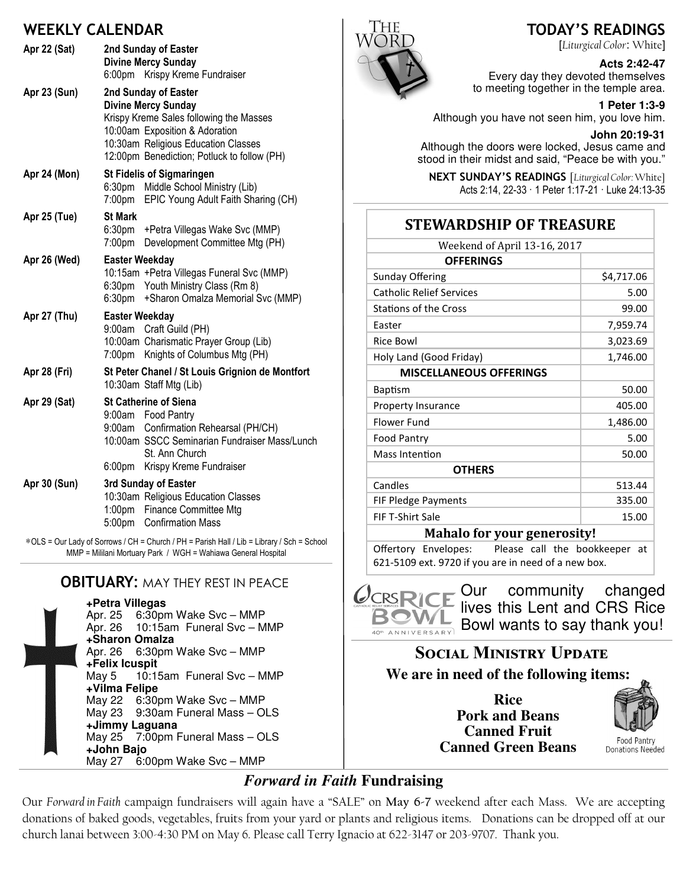### WEEKLY CALENDAR

| Apr 22 (Sat)                                                                               |                                 | 2nd Sunday of Easter<br><b>Divine Mercy Sunday</b><br>6:00pm Krispy Kreme Fundraiser                                                                                                                                  |  |
|--------------------------------------------------------------------------------------------|---------------------------------|-----------------------------------------------------------------------------------------------------------------------------------------------------------------------------------------------------------------------|--|
| Apr 23 (Sun)                                                                               |                                 | 2nd Sunday of Easter<br><b>Divine Mercy Sunday</b><br>Krispy Kreme Sales following the Masses<br>10:00am Exposition & Adoration<br>10:30am Religious Education Classes<br>12:00pm Benediction; Potluck to follow (PH) |  |
| Apr 24 (Mon)                                                                               | 6:30pm<br>7:00pm                | <b>St Fidelis of Sigmaringen</b><br>Middle School Ministry (Lib)<br>EPIC Young Adult Faith Sharing (CH)                                                                                                               |  |
| Apr 25 (Tue)                                                                               | <b>St Mark</b><br>7:00pm        | 6:30pm + Petra Villegas Wake Svc (MMP)<br>Development Committee Mtg (PH)                                                                                                                                              |  |
| Apr 26 (Wed)                                                                               | <b>Easter Weekday</b>           | 10:15am + Petra Villegas Funeral Svc (MMP)<br>6:30pm Youth Ministry Class (Rm 8)<br>6:30pm + Sharon Omalza Memorial Svc (MMP)                                                                                         |  |
| Apr 27 (Thu)                                                                               | <b>Easter Weekday</b><br>9:00am | Craft Guild (PH)<br>10:00am Charismatic Prayer Group (Lib)<br>7:00pm Knights of Columbus Mtg (PH)                                                                                                                     |  |
| Apr 28 (Fri)                                                                               |                                 | St Peter Chanel / St Louis Grignion de Montfort<br>10:30am Staff Mtg (Lib)                                                                                                                                            |  |
| Apr 29 (Sat)                                                                               | 6:00pm                          | <b>St Catherine of Siena</b><br>9:00am Food Pantry<br>9:00am Confirmation Rehearsal (PH/CH)<br>10:00am SSCC Seminarian Fundraiser Mass/Lunch<br>St. Ann Church<br>Krispy Kreme Fundraiser                             |  |
| Apr 30 (Sun)                                                                               |                                 | 3rd Sunday of Easter<br>10:30am Religious Education Classes<br>1:00pm Finance Committee Mtg<br>5:00pm Confirmation Mass                                                                                               |  |
| *OLS = Our Lady of Sorrows / CH = Church / PH = Parish Hall / Lib = Library / Sch = School |                                 |                                                                                                                                                                                                                       |  |

MMP = Mililani Mortuary Park / WGH = Wahiawa General Hospital

### **OBITUARY: MAY THEY REST IN PEACE**

**+Petra Villegas** Apr. 25 6:30pm Wake Svc – MMP<br>Apr. 26 10:15am Funeral Svc – M 10:15am Funeral Svc - MMP **+Sharon Omalza** Apr. 26 6:30pm Wake Svc – MMP **+Felix Icuspit** May 5 10:15am Funeral Svc – MMP **+Vilma Felipe** May 22 6:30pm Wake Svc – MMP May 23 9:30am Funeral Mass – OLS **+Jimmy Laguana** May 25 7:00pm Funeral Mass – OLS **+John Bajo** May 27 6:00pm Wake Svc – MMP



## TODAY'S READINGS

[Liturgical Color: White]

#### **Acts 2:42-47**

Every day they devoted themselves to meeting together in the temple area.

**1 Peter 1:3-9**  Although you have not seen him, you love him.

**John 20:19-31** 

Although the doors were locked, Jesus came and stood in their midst and said, "Peace be with you."

NEXT SUNDAY'S READINGS [Liturgical Color: White] Acts 2:14, 22-33 · 1 Peter 1:17-21 · Luke 24:13-35

### **STEWARDSHIP OF TREASURE**

| Weekend of April 13-16, 2017       |            |  |  |
|------------------------------------|------------|--|--|
| <b>OFFERINGS</b>                   |            |  |  |
| <b>Sunday Offering</b>             | \$4,717.06 |  |  |
| <b>Catholic Relief Services</b>    | 5.00       |  |  |
| <b>Stations of the Cross</b>       | 99.00      |  |  |
| Easter                             | 7,959.74   |  |  |
| Rice Bowl                          | 3,023.69   |  |  |
| Holy Land (Good Friday)            | 1,746.00   |  |  |
| <b>MISCELLANEOUS OFFERINGS</b>     |            |  |  |
| <b>Baptism</b>                     | 50.00      |  |  |
| Property Insurance                 | 405.00     |  |  |
| Flower Fund                        | 1,486.00   |  |  |
| Food Pantry                        | 5.00       |  |  |
| Mass Intention                     | 50.00      |  |  |
| <b>OTHERS</b>                      |            |  |  |
| Candles                            | 513.44     |  |  |
| <b>FIF Pledge Payments</b>         | 335.00     |  |  |
| <b>FIF T-Shirt Sale</b>            | 15.00      |  |  |
| <b>Mahalo for your generosity!</b> |            |  |  |

Offertory Envelopes: Please call the bookkeeper at 621-5109 ext. 9720 if you are in need of a new box.



Our community changed lives this Lent and CRS Rice Bowl wants to say thank you!

# SOCIAL MINISTRY UPDATE **We are in need of the following items:**

**Rice Pork and Beans Canned Fruit Canned Green Beans**



**Donations Needed** 

# *Forward in Faith* **Fundraising**

Our Forward in Faith campaign fundraisers will again have a "SALE" on May 6-7 weekend after each Mass. We are accepting donations of baked goods, vegetables, fruits from your yard or plants and religious items. Donations can be dropped off at our church lanai between 3:00-4:30 PM on May 6. Please call Terry Ignacio at 622-3147 or 203-9707. Thank you.